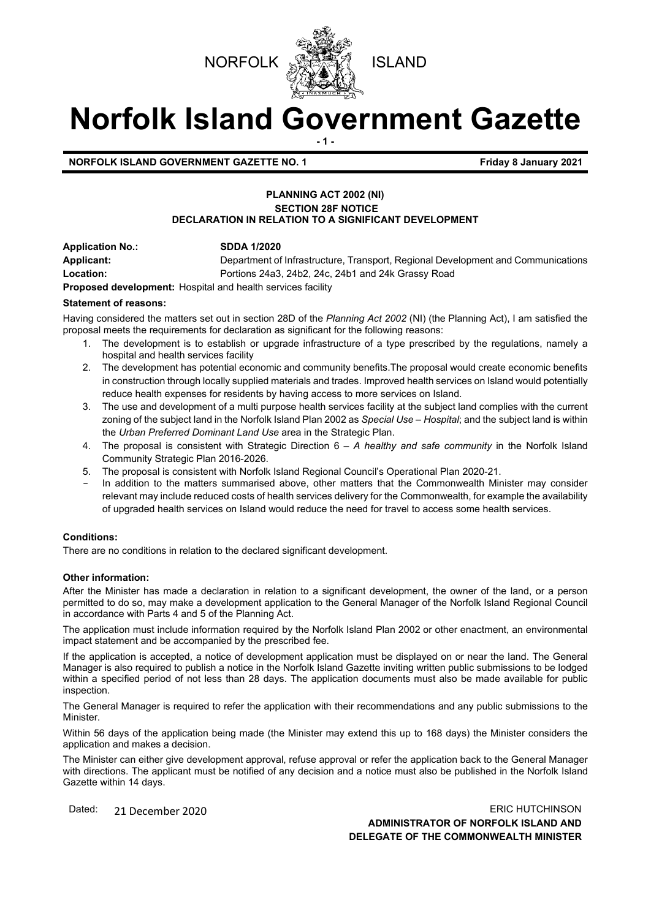

# **Norfolk Island Government Gazette - 1 -**

**NORFOLK ISLAND GOVERNMENT GAZETTE NO. 1 Friday 8 January 2021** 

# **PLANNING ACT 2002 (NI) SECTION 28F NOTICE DECLARATION IN RELATION TO A SIGNIFICANT DEVELOPMENT**

**Application No.: SDDA 1/2020 Applicant:** Department of Infrastructure, Transport, Regional Development and Communications **Location:** Portions 24a3, 24b2, 24c, 24b1 and 24k Grassy Road

**Proposed development:** Hospital and health services facility

# **Statement of reasons:**

Having considered the matters set out in section 28D of the *Planning Act 2002* (NI) (the Planning Act), I am satisfied the proposal meets the requirements for declaration as significant for the following reasons:

- 1. The development is to establish or upgrade infrastructure of a type prescribed by the regulations, namely a hospital and health services facility
- 2. The development has potential economic and community benefits.The proposal would create economic benefits in construction through locally supplied materials and trades. Improved health services on Island would potentially reduce health expenses for residents by having access to more services on Island.
- 3. The use and development of a multi purpose health services facility at the subject land complies with the current zoning of the subject land in the Norfolk Island Plan 2002 as *Special Use – Hospital*; and the subject land is within the *Urban Preferred Dominant Land Use* area in the Strategic Plan.
- 4. The proposal is consistent with Strategic Direction 6 *A healthy and safe community* in the Norfolk Island Community Strategic Plan 2016-2026.
- 5. The proposal is consistent with Norfolk Island Regional Council's Operational Plan 2020-21.
- In addition to the matters summarised above, other matters that the Commonwealth Minister may consider relevant may include reduced costs of health services delivery for the Commonwealth, for example the availability of upgraded health services on Island would reduce the need for travel to access some health services.

#### **Conditions:**

There are no conditions in relation to the declared significant development.

#### **Other information:**

After the Minister has made a declaration in relation to a significant development, the owner of the land, or a person permitted to do so, may make a development application to the General Manager of the Norfolk Island Regional Council in accordance with Parts 4 and 5 of the Planning Act.

The application must include information required by the Norfolk Island Plan 2002 or other enactment, an environmental impact statement and be accompanied by the prescribed fee.

If the application is accepted, a notice of development application must be displayed on or near the land. The General Manager is also required to publish a notice in the Norfolk Island Gazette inviting written public submissions to be lodged within a specified period of not less than 28 days. The application documents must also be made available for public inspection.

The General Manager is required to refer the application with their recommendations and any public submissions to the Minister.

Within 56 days of the application being made (the Minister may extend this up to 168 days) the Minister considers the application and makes a decision.

The Minister can either give development approval, refuse approval or refer the application back to the General Manager with directions. The applicant must be notified of any decision and a notice must also be published in the Norfolk Island Gazette within 14 days.

Dated: 21 December 2020 20 20 ERIC HUTCHINSON **ADMINISTRATOR OF NORFOLK ISLAND AND DELEGATE OF THE COMMONWEALTH MINISTER**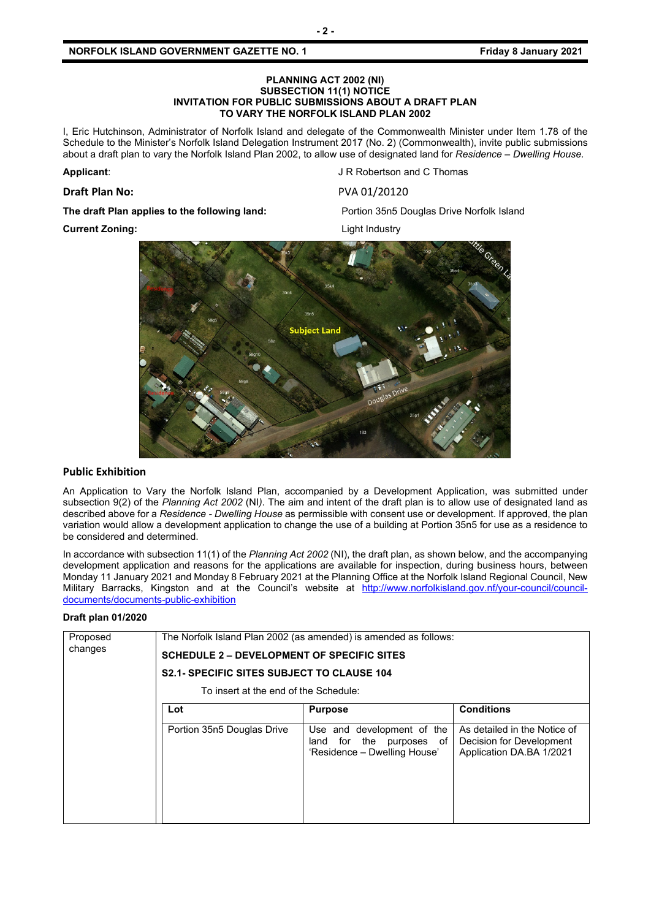I, Eric Hutchinson, Administrator of Norfolk Island and delegate of the Commonwealth Minister under Item 1.78 of the Schedule to the Minister's Norfolk Island Delegation Instrument 2017 (No. 2) (Commonwealth), invite public submissions about a draft plan to vary the Norfolk Island Plan 2002, to allow use of designated land for *Residence – Dwelling House.*

## **Draft Plan No:** PVA 01/20120

**Applicant:** Applicant: **Applicant**: **J R Robertson and C Thomas** 

**The draft Plan applies to the following land:** Portion 35n5 Douglas Drive Norfolk Island

**Current Zoning:** Current Zoning:



# **Public Exhibition**

An Application to Vary the Norfolk Island Plan, accompanied by a Development Application, was submitted under subsection 9(2) of the *Planning Act 2002* (NI*)*. The aim and intent of the draft plan is to allow use of designated land as described above for a *Residence - Dwelling House* as permissible with consent use or development. If approved, the plan variation would allow a development application to change the use of a building at Portion 35n5 for use as a residence to be considered and determined.

In accordance with subsection 11(1) of the *Planning Act 2002* (NI), the draft plan, as shown below, and the accompanying development application and reasons for the applications are available for inspection, during business hours, between Monday 11 January 2021 and Monday 8 February 2021 at the Planning Office at the Norfolk Island Regional Council, New Military Barracks, Kingston and at the Council's website at [http://www.norfolkisland.gov.nf/your-council/council](http://www.norfolkisland.gov.nf/your-council/council-documents/documents-public-exhibition)[documents/documents-public-exhibition](http://www.norfolkisland.gov.nf/your-council/council-documents/documents-public-exhibition)

#### **Draft plan 01/2020**

| Proposed<br>changes | The Norfolk Island Plan 2002 (as amended) is amended as follows: |                                                                                              |                                                                                      |  |
|---------------------|------------------------------------------------------------------|----------------------------------------------------------------------------------------------|--------------------------------------------------------------------------------------|--|
|                     | <b>SCHEDULE 2 – DEVELOPMENT OF SPECIFIC SITES</b>                |                                                                                              |                                                                                      |  |
|                     | <b>S2.1- SPECIFIC SITES SUBJECT TO CLAUSE 104</b>                |                                                                                              |                                                                                      |  |
|                     | To insert at the end of the Schedule:                            |                                                                                              |                                                                                      |  |
|                     | Lot                                                              | <b>Purpose</b>                                                                               | <b>Conditions</b>                                                                    |  |
|                     | Portion 35n5 Douglas Drive                                       | Use and development of the<br>for the<br>purposes of<br>land<br>'Residence - Dwelling House' | As detailed in the Notice of<br>Decision for Development<br>Application DA.BA 1/2021 |  |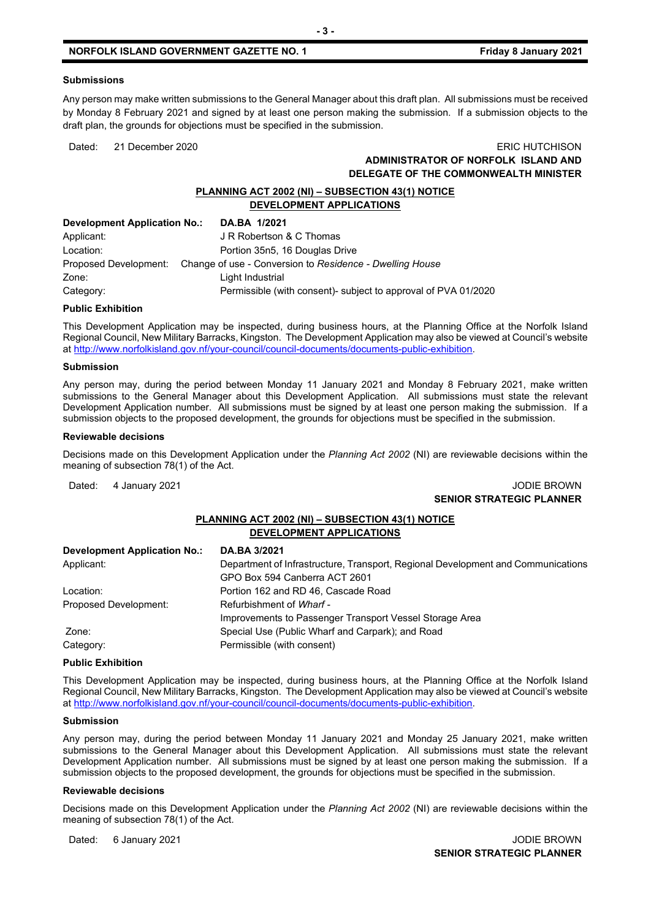#### **Submissions**

Any person may make written submissions to the General Manager about this draft plan. All submissions must be received by Monday 8 February 2021 and signed by at least one person making the submission. If a submission objects to the draft plan, the grounds for objections must be specified in the submission.

# Dated: 21 December 2020 ERIC HUTCHISON **ADMINISTRATOR OF NORFOLK ISLAND AND DELEGATE OF THE COMMONWEALTH MINISTER**

# **PLANNING ACT 2002 (NI) – SUBSECTION 43(1) NOTICE DEVELOPMENT APPLICATIONS**

| Development Application No.: | DA.BA 1/2021                                                                   |
|------------------------------|--------------------------------------------------------------------------------|
| Applicant:                   | J R Robertson & C Thomas                                                       |
| Location:                    | Portion 35n5, 16 Douglas Drive                                                 |
|                              | Proposed Development: Change of use - Conversion to Residence - Dwelling House |
| Zone:                        | Light Industrial                                                               |
| Category:                    | Permissible (with consent)- subject to approval of PVA 01/2020                 |

#### **Public Exhibition**

This Development Application may be inspected, during business hours, at the Planning Office at the Norfolk Island Regional Council, New Military Barracks, Kingston. The Development Application may also be viewed at Council's website at [http://www.norfolkisland.gov.nf/your-council/council-documents/documents-public-exhibition.](http://www.norfolkisland.gov.nf/your-council/council-documents/documents-public-exhibition)

#### **Submission**

Any person may, during the period between Monday 11 January 2021 and Monday 8 February 2021, make written submissions to the General Manager about this Development Application. All submissions must state the relevant Development Application number. All submissions must be signed by at least one person making the submission. If a submission objects to the proposed development, the grounds for objections must be specified in the submission.

#### **Reviewable decisions**

Decisions made on this Development Application under the *Planning Act 2002* (NI) are reviewable decisions within the meaning of subsection 78(1) of the Act.

# Dated: 4 January 2021 **Journal of American Control of American Control of American Control of American Control of American Control of American Control of American Control of American Control of American Control of American SENIOR STRATEGIC PLANNER**

# **PLANNING ACT 2002 (NI) – SUBSECTION 43(1) NOTICE DEVELOPMENT APPLICATIONS**

| <b>Development Application No.:</b> | DA.BA 3/2021                                                                     |
|-------------------------------------|----------------------------------------------------------------------------------|
| Applicant:                          | Department of Infrastructure, Transport, Regional Development and Communications |
|                                     | GPO Box 594 Canberra ACT 2601                                                    |
| Location:                           | Portion 162 and RD 46, Cascade Road                                              |
| Proposed Development:               | Refurbishment of Wharf -                                                         |
|                                     | Improvements to Passenger Transport Vessel Storage Area                          |
| Zone:                               | Special Use (Public Wharf and Carpark); and Road                                 |
| Category:                           | Permissible (with consent)                                                       |

#### **Public Exhibition**

This Development Application may be inspected, during business hours, at the Planning Office at the Norfolk Island Regional Council, New Military Barracks, Kingston. The Development Application may also be viewed at Council's website a[t http://www.norfolkisland.gov.nf/your-council/council-documents/documents-public-exhibition.](http://www.norfolkisland.gov.nf/your-council/council-documents/documents-public-exhibition)

#### **Submission**

Any person may, during the period between Monday 11 January 2021 and Monday 25 January 2021, make written submissions to the General Manager about this Development Application. All submissions must state the relevant Development Application number. All submissions must be signed by at least one person making the submission. If a submission objects to the proposed development, the grounds for objections must be specified in the submission.

#### **Reviewable decisions**

Decisions made on this Development Application under the *Planning Act 2002* (NI) are reviewable decisions within the meaning of subsection 78(1) of the Act.

Dated: 6 January 2021 **Journal of American Control of American Control of American Control of American Control of American Control of American Control of American Control of American Control of American Control of American**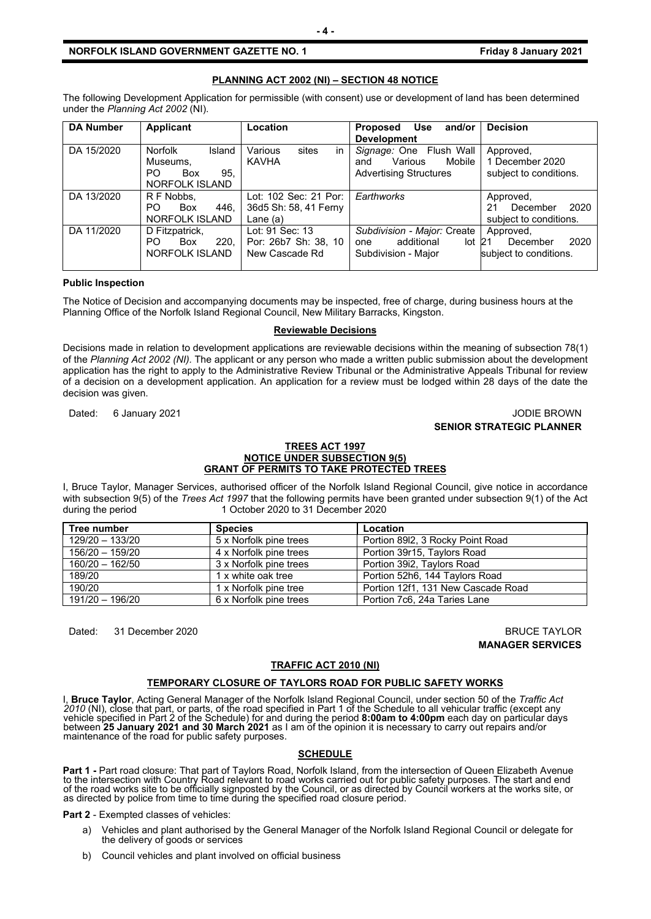#### **NORFOLK ISLAND GOVERNMENT GAZETTE NO. 1** *CONDUCTER SETS Friday 8 January 2021*

#### **PLANNING ACT 2002 (NI) – SECTION 48 NOTICE**

The following Development Application for permissible (with consent) use or development of land has been determined under the *Planning Act 2002* (NI).

| <b>DA Number</b> | <b>Applicant</b>                                                            | Location                                                     | <b>Proposed</b><br>Use<br>and/or<br><b>Development</b>                               | <b>Decision</b>                                               |
|------------------|-----------------------------------------------------------------------------|--------------------------------------------------------------|--------------------------------------------------------------------------------------|---------------------------------------------------------------|
| DA 15/2020       | Norfolk<br>Island<br>Museums,<br>PO.<br>95,<br>Box<br><b>NORFOLK ISLAND</b> | Various<br>in<br>sites<br>KAVHA                              | Signage: One Flush Wall<br>Various<br>Mobile<br>and<br><b>Advertising Structures</b> | Approved,<br>1 December 2020<br>subject to conditions.        |
| DA 13/2020       | R F Nobbs.<br>446.<br>PO.<br>Box<br>NORFOLK ISLAND                          | Lot: 102 Sec: 21 Por:<br>36d5 Sh: 58, 41 Ferny<br>Lane $(a)$ | Earthworks                                                                           | Approved,<br>2020<br>December<br>21<br>subject to conditions. |
| DA 11/2020       | D Fitzpatrick,<br>220.<br>PO.<br><b>Box</b><br>NORFOLK ISLAND               | Lot: 91 Sec: 13<br>Por: 26b7 Sh: 38, 10<br>New Cascade Rd    | Subdivision - Major: Create<br>additional<br>$lot$ 21<br>one<br>Subdivision - Major  | Approved,<br>2020<br>December<br>subject to conditions.       |

#### **Public Inspection**

The Notice of Decision and accompanying documents may be inspected, free of charge, during business hours at the Planning Office of the Norfolk Island Regional Council, New Military Barracks, Kingston.

#### **Reviewable Decisions**

Decisions made in relation to development applications are reviewable decisions within the meaning of subsection 78(1) of the *Planning Act 2002 (NI).* The applicant or any person who made a written public submission about the development application has the right to apply to the Administrative Review Tribunal or the Administrative Appeals Tribunal for review of a decision on a development application. An application for a review must be lodged within 28 days of the date the decision was given.

Dated: 6 January 2021 **Journal of American Control of American** Control of American Control of American Control of American Control of American Control of American Control of American Control of American Control of America

# **SENIOR STRATEGIC PLANNER**

#### **TREES ACT 1997 NOTICE UNDER SUBSECTION 9(5) GRANT OF PERMITS TO TAKE PROTECTED TREES**

I, Bruce Taylor, Manager Services, authorised officer of the Norfolk Island Regional Council, give notice in accordance with subsection 9(5) of the *Trees Act 1997* that the following permits have been granted under subsection 9(1) of the Act during the period 1 October 2020 to 31 December 2020

| Tree number       | <b>Species</b>         | Location                           |
|-------------------|------------------------|------------------------------------|
| $129/20 - 133/20$ | 5 x Norfolk pine trees | Portion 8912, 3 Rocky Point Road   |
| $156/20 - 159/20$ | 4 x Norfolk pine trees | Portion 39r15, Taylors Road        |
| $160/20 - 162/50$ | 3 x Norfolk pine trees | Portion 39i2, Taylors Road         |
| 189/20            | 1 x white oak tree     | Portion 52h6, 144 Taylors Road     |
| 190/20            | 1 x Norfolk pine tree  | Portion 12f1, 131 New Cascade Road |
| 191/20 - 196/20   | 6 x Norfolk pine trees | Portion 7c6, 24a Taries Lane       |

Dated: 31 December 2020 BRUCE TAYLOR

**MANAGER SERVICES**

#### **TRAFFIC ACT 2010 (NI)**

#### **TEMPORARY CLOSURE OF TAYLORS ROAD FOR PUBLIC SAFETY WORKS**

I, **Bruce Taylor**, Acting General Manager of the Norfolk Island Regional Council, under section 50 of the *Traffic Act*  2010 (NI), close that part, or parts, of the road specified in Part 1 of the Schedule to all vehicular traffic (except any<br>vehicle specified in Part 2 of the Schedule) for and during the period **8:00am to 4:00pm** each day between **25 January 2021 and 30 March 2021** as I am of the opinion it is necessary to carry out repairs and/or<br>maintenance of the road for public safety purposes.

#### **SCHEDULE**

**Part 1 -** Part road closure: That part of Taylors Road, Norfolk Island, from the intersection of Queen Elizabeth Avenue<br>to the intersection with Country Road relevant to road works carried out for public safety purposes. of the road works site to be officially signposted by the Council, or as directed by Council workers at the works site, or<br>as directed by police from time to time during the specified road closure period.

**Part 2** - Exempted classes of vehicles:

- a) Vehicles and plant authorised by the General Manager of the Norfolk Island Regional Council or delegate for the delivery of goods or services
- b) Council vehicles and plant involved on official business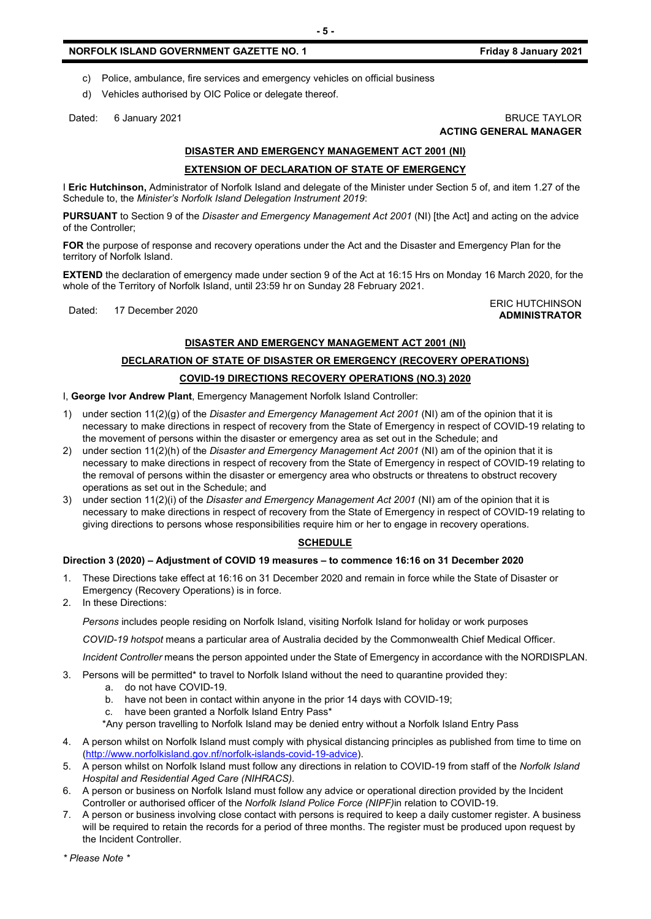### **NORFOLK ISLAND GOVERNMENT GAZETTE NO. 1 Friday 8 January 2021**

- c) Police, ambulance, fire services and emergency vehicles on official business
- d) Vehicles authorised by OIC Police or delegate thereof.

Dated: 6 January 2021 BRUCE TAYLOR

# **DISASTER AND EMERGENCY MANAGEMENT ACT 2001 (NI) EXTENSION OF DECLARATION OF STATE OF EMERGENCY**

I **Eric Hutchinson,** Administrator of Norfolk Island and delegate of the Minister under Section 5 of, and item 1.27 of the Schedule to, the *Minister's Norfolk Island Delegation Instrument 2019*:

**PURSUANT** to Section 9 of the *Disaster and Emergency Management Act 2001* (NI) [the Act] and acting on the advice of the Controller;

**FOR** the purpose of response and recovery operations under the Act and the Disaster and Emergency Plan for the territory of Norfolk Island.

**EXTEND** the declaration of emergency made under section 9 of the Act at 16:15 Hrs on Monday 16 March 2020, for the whole of the Territory of Norfolk Island, until 23:59 hr on Sunday 28 February 2021.

Dated: 17 December 2020<br>Dated: 17 December 2020

**ADMINISTRATOR**

### **DISASTER AND EMERGENCY MANAGEMENT ACT 2001 (NI)**

#### **DECLARATION OF STATE OF DISASTER OR EMERGENCY (RECOVERY OPERATIONS)**

#### **COVID-19 DIRECTIONS RECOVERY OPERATIONS (NO.3) 2020**

I, **George Ivor Andrew Plant**, Emergency Management Norfolk Island Controller:

- 1) under section 11(2)(g) of the *Disaster and Emergency Management Act 2001* (NI) am of the opinion that it is necessary to make directions in respect of recovery from the State of Emergency in respect of COVID-19 relating to the movement of persons within the disaster or emergency area as set out in the Schedule; and
- 2) under section 11(2)(h) of the *Disaster and Emergency Management Act 2001* (NI) am of the opinion that it is necessary to make directions in respect of recovery from the State of Emergency in respect of COVID-19 relating to the removal of persons within the disaster or emergency area who obstructs or threatens to obstruct recovery operations as set out in the Schedule; and
- 3) under section 11(2)(i) of the *Disaster and Emergency Management Act 2001* (NI) am of the opinion that it is necessary to make directions in respect of recovery from the State of Emergency in respect of COVID-19 relating to giving directions to persons whose responsibilities require him or her to engage in recovery operations.

# **SCHEDULE**

#### **Direction 3 (2020) – Adjustment of COVID 19 measures – to commence 16:16 on 31 December 2020**

- 1. These Directions take effect at 16:16 on 31 December 2020 and remain in force while the State of Disaster or Emergency (Recovery Operations) is in force.
- 2. In these Directions:

*Persons* includes people residing on Norfolk Island, visiting Norfolk Island for holiday or work purposes

*COVID-19 hotspot* means a particular area of Australia decided by the Commonwealth Chief Medical Officer.

*Incident Controller* means the person appointed under the State of Emergency in accordance with the NORDISPLAN.

- 3. Persons will be permitted\* to travel to Norfolk Island without the need to quarantine provided they:
	- a. do not have COVID-19.
	- b. have not been in contact within anyone in the prior 14 days with COVID-19;
	- c. have been granted a Norfolk Island Entry Pass\*
	- \*Any person travelling to Norfolk Island may be denied entry without a Norfolk Island Entry Pass
- 4. A person whilst on Norfolk Island must comply with physical distancing principles as published from time to time on [\(http://www.norfolkisland.gov.nf/norfolk-islands-covid-19-advice\)](http://www.norfolkisland.gov.nf/norfolk-islands-covid-19-advice).
- 5. A person whilst on Norfolk Island must follow any directions in relation to COVID-19 from staff of the *Norfolk Island Hospital and Residential Aged Care (NIHRACS).*
- 6. A person or business on Norfolk Island must follow any advice or operational direction provided by the Incident Controller or authorised officer of the *Norfolk Island Police Force (NIPF)*in relation to COVID-19.
- 7. A person or business involving close contact with persons is required to keep a daily customer register. A business will be required to retain the records for a period of three months. The register must be produced upon request by the Incident Controller.

# **ACTING GENERAL MANAGER**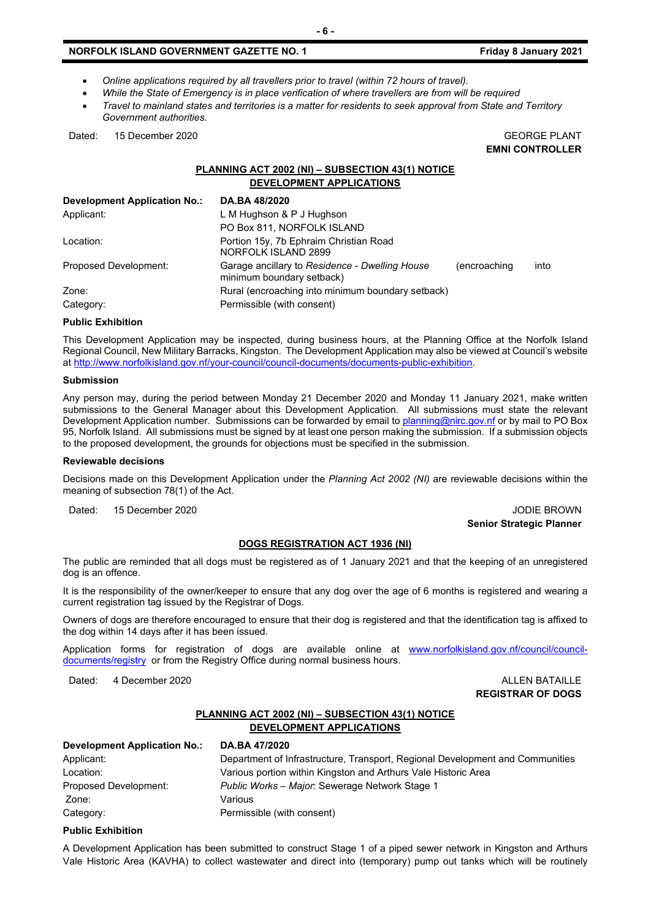# **NORFOLK ISLAND GOVERNMENT GAZETTE NO. 1** *CONDUCTER SETS Friday 8 January 2021*

- *Online applications required by all travellers prior to travel (within 72 hours of travel).*
- *While the State of Emergency is in place verification of where travellers are from will be required*
- *Travel to mainland states and territories is a matter for residents to seek approval from State and Territory Government authorities.*

Dated: 15 December 2020 CEORGE PLANT

**EMNI CONTROLLER**

# **PLANNING ACT 2002 (NI) – SUBSECTION 43(1) NOTICE DEVELOPMENT APPLICATIONS**

| <b>Development Application No.:</b> | DA.BA 48/2020                                                               |              |      |
|-------------------------------------|-----------------------------------------------------------------------------|--------------|------|
| Applicant:                          | L M Hughson & P J Hughson                                                   |              |      |
|                                     | PO Box 811, NORFOLK ISLAND                                                  |              |      |
| Location:                           | Portion 15y, 7b Ephraim Christian Road<br>NORFOLK ISLAND 2899               |              |      |
| <b>Proposed Development:</b>        | Garage ancillary to Residence - Dwelling House<br>minimum boundary setback) | (encroaching | into |
| Zone:                               | Rural (encroaching into minimum boundary setback)                           |              |      |
| Category:                           | Permissible (with consent)                                                  |              |      |

#### **Public Exhibition**

This Development Application may be inspected, during business hours, at the Planning Office at the Norfolk Island Regional Council, New Military Barracks, Kingston. The Development Application may also be viewed at Council's website a[t http://www.norfolkisland.gov.nf/your-council/council-documents/documents-public-exhibition.](http://www.norfolkisland.gov.nf/your-council/council-documents/documents-public-exhibition)

#### **Submission**

Any person may, during the period between Monday 21 December 2020 and Monday 11 January 2021, make written submissions to the General Manager about this Development Application. All submissions must state the relevant Development Application number. Submissions can be forwarded by email t[o planning@nirc.gov.nf](mailto:planning@nirc.gov.nf) or by mail to PO Box 95, Norfolk Island. All submissions must be signed by at least one person making the submission. If a submission objects to the proposed development, the grounds for objections must be specified in the submission.

#### **Reviewable decisions**

Decisions made on this Development Application under the *Planning Act 2002 (NI)* are reviewable decisions within the meaning of subsection 78(1) of the Act.

Dated: 15 December 2020 JODIE BROWN

**Senior Strategic Planner** 

#### **DOGS REGISTRATION ACT 1936 (NI)**

The public are reminded that all dogs must be registered as of 1 January 2021 and that the keeping of an unregistered dog is an offence.

It is the responsibility of the owner/keeper to ensure that any dog over the age of 6 months is registered and wearing a current registration tag issued by the Registrar of Dogs.

Owners of dogs are therefore encouraged to ensure that their dog is registered and that the identification tag is affixed to the dog within 14 days after it has been issued.

Application forms for registration of dogs are available online at [www.norfolkisland.gov.nf/council/council](http://www.norfolkisland.gov.nf/council/council-documents/registry)[documents/registry](http://www.norfolkisland.gov.nf/council/council-documents/registry) or from the Registry Office during normal business hours.

Dated: 4 December 2020 ALLEN BATAILLE

**REGISTRAR OF DOGS**

# **PLANNING ACT 2002 (NI) – SUBSECTION 43(1) NOTICE DEVELOPMENT APPLICATIONS**

| Development Application No.: | DA.BA 47/2020                                                                 |
|------------------------------|-------------------------------------------------------------------------------|
| Applicant:                   | Department of Infrastructure, Transport, Regional Development and Communities |
| Location:                    | Various portion within Kingston and Arthurs Vale Historic Area                |
| Proposed Development:        | Public Works - Major: Sewerage Network Stage 1                                |
| Zone:                        | Various                                                                       |
| Category:                    | Permissible (with consent)                                                    |

### **Public Exhibition**

A Development Application has been submitted to construct Stage 1 of a piped sewer network in Kingston and Arthurs Vale Historic Area (KAVHA) to collect wastewater and direct into (temporary) pump out tanks which will be routinely